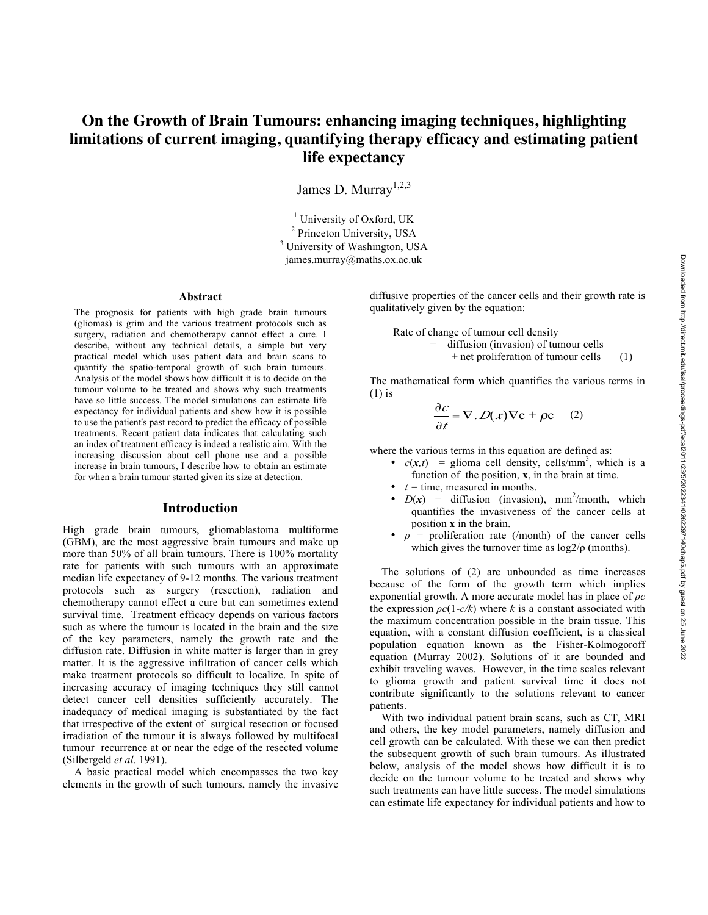# **On the Growth of Brain Tumours: enhancing imaging techniques, highlighting limitations of current imaging, quantifying therapy efficacy and estimating patient life expectancy**

James D. Murray<sup>1,2,3</sup>

 $1$  University of Oxford, UK <sup>2</sup> Princeton University, USA <sup>3</sup> University of Washington, USA james.murray@maths.ox.ac.uk

#### **Abstract**

The prognosis for patients with high grade brain tumours (gliomas) is grim and the various treatment protocols such as surgery, radiation and chemotherapy cannot effect a cure. I describe, without any technical details, a simple but very practical model which uses patient data and brain scans to quantify the spatio-temporal growth of such brain tumours. Analysis of the model shows how difficult it is to decide on the tumour volume to be treated and shows why such treatments have so little success. The model simulations can estimate life expectancy for individual patients and show how it is possible to use the patient's past record to predict the efficacy of possible treatments. Recent patient data indicates that calculating such an index of treatment efficacy is indeed a realistic aim. With the increasing discussion about cell phone use and a possible increase in brain tumours, I describe how to obtain an estimate for when a brain tumour started given its size at detection.

## **Introduction**

High grade brain tumours, gliomablastoma multiforme (GBM), are the most aggressive brain tumours and make up more than 50% of all brain tumours. There is 100% mortality rate for patients with such tumours with an approximate median life expectancy of 9-12 months. The various treatment protocols such as surgery (resection), radiation and chemotherapy cannot effect a cure but can sometimes extend survival time. Treatment efficacy depends on various factors such as where the tumour is located in the brain and the size of the key parameters, namely the growth rate and the diffusion rate. Diffusion in white matter is larger than in grey matter. It is the aggressive infiltration of cancer cells which make treatment protocols so difficult to localize. In spite of increasing accuracy of imaging techniques they still cannot detect cancer cell densities sufficiently accurately. The inadequacy of medical imaging is substantiated by the fact that irrespective of the extent of surgical resection or focused irradiation of the tumour it is always followed by multifocal tumour recurrence at or near the edge of the resected volume (Silbergeld *et al*. 1991).

A basic practical model which encompasses the two key elements in the growth of such tumours, namely the invasive diffusive properties of the cancer cells and their growth rate is qualitatively given by the equation:

Rate of change of tumour cell density = diffusion (invasion) of tumour cells + net proliferation of tumour cells (1)

The mathematical form which quantifies the various terms in (1) is

$$
\frac{\partial c}{\partial t} = \nabla \cdot D(x) \nabla c + \rho c \quad (2)
$$

where the various terms in this equation are defined as:

- $c(x,t)$  = glioma cell density, cells/mm<sup>3</sup>, which is a function of the position, **x**, in the brain at time.
- $\bullet$  *t* = time, measured in months.
- $D(x)$  = diffusion (invasion), mm<sup>2</sup>/month, which quantifies the invasiveness of the cancer cells at position **x** in the brain.
- $\rho =$  proliferation rate (/month) of the cancer cells which gives the turnover time as  $log2/\rho$  (months).

The solutions of (2) are unbounded as time increases because of the form of the growth term which implies exponential growth. A more accurate model has in place of *ρc* the expression  $\rho c(1-c/k)$  where *k* is a constant associated with the maximum concentration possible in the brain tissue. This equation, with a constant diffusion coefficient, is a classical population equation known as the Fisher-Kolmogoroff equation (Murray 2002). Solutions of it are bounded and exhibit traveling waves. However, in the time scales relevant to glioma growth and patient survival time it does not contribute significantly to the solutions relevant to cancer patients.

With two individual patient brain scans, such as CT, MRI and others, the key model parameters, namely diffusion and cell growth can be calculated. With these we can then predict the subsequent growth of such brain tumours. As illustrated below, analysis of the model shows how difficult it is to decide on the tumour volume to be treated and shows why such treatments can have little success. The model simulations can estimate life expectancy for individual patients and how to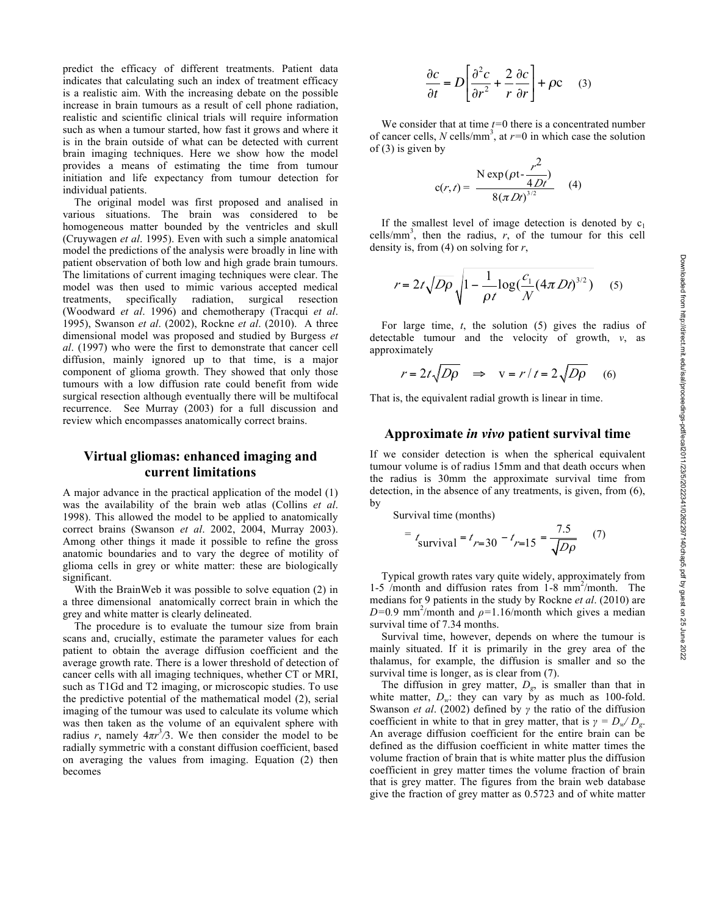predict the efficacy of different treatments. Patient data indicates that calculating such an index of treatment efficacy is a realistic aim. With the increasing debate on the possible increase in brain tumours as a result of cell phone radiation, realistic and scientific clinical trials will require information such as when a tumour started, how fast it grows and where it is in the brain outside of what can be detected with current brain imaging techniques. Here we show how the model provides a means of estimating the time from tumour initiation and life expectancy from tumour detection for individual patients.

The original model was first proposed and analised in various situations. The brain was considered to be homogeneous matter bounded by the ventricles and skull (Cruywagen *et al*. 1995). Even with such a simple anatomical model the predictions of the analysis were broadly in line with patient observation of both low and high grade brain tumours. The limitations of current imaging techniques were clear. The model was then used to mimic various accepted medical treatments, specifically radiation, surgical resection treatments, specifically radiation, surgical resection (Woodward *et al*. 1996) and chemotherapy (Tracqui *et al*. 1995), Swanson *et al*. (2002), Rockne *et al*. (2010). A three dimensional model was proposed and studied by Burgess *et al*. (1997) who were the first to demonstrate that cancer cell diffusion, mainly ignored up to that time, is a major component of glioma growth. They showed that only those tumours with a low diffusion rate could benefit from wide surgical resection although eventually there will be multifocal recurrence. See Murray (2003) for a full discussion and review which encompasses anatomically correct brains.

# **Virtual gliomas: enhanced imaging and current limitations**

A major advance in the practical application of the model (1) was the availability of the brain web atlas (Collins *et al*. 1998). This allowed the model to be applied to anatomically correct brains (Swanson *et al*. 2002, 2004, Murray 2003). Among other things it made it possible to refine the gross anatomic boundaries and to vary the degree of motility of glioma cells in grey or white matter: these are biologically significant.

With the BrainWeb it was possible to solve equation (2) in a three dimensional anatomically correct brain in which the grey and white matter is clearly delineated.

The procedure is to evaluate the tumour size from brain scans and, crucially, estimate the parameter values for each patient to obtain the average diffusion coefficient and the average growth rate. There is a lower threshold of detection of cancer cells with all imaging techniques, whether CT or MRI, such as T1Gd and T2 imaging, or microscopic studies. To use the predictive potential of the mathematical model (2), serial imaging of the tumour was used to calculate its volume which was then taken as the volume of an equivalent sphere with radius *r*, namely  $4\pi r^3/3$ . We then consider the model to be radially symmetric with a constant diffusion coefficient, based on averaging the values from imaging. Equation (2) then becomes

$$
\frac{\partial c}{\partial t} = D \left[ \frac{\partial^2 c}{\partial r^2} + \frac{2}{r} \frac{\partial c}{\partial r} \right] + \rho c \quad (3)
$$

We consider that at time *t=*0 there is a concentrated number of cancer cells, *N* cells/mm<sup>3</sup>, at  $r=0$  in which case the solution of  $(3)$  is given by

$$
c(r, t) = \frac{N \exp(\rho t - \frac{r^2}{4Dt})}{8(\pi Dt)^{3/2}}
$$
 (4)

If the smallest level of image detection is denoted by  $c_1$ cells/mm<sup>3</sup>, then the radius,  $r<sub>1</sub>$  of the tumour for this cell density is, from (4) on solving for *r*,

$$
r = 2t\sqrt{D\rho}\sqrt{1 - \frac{1}{\rho t}\log(\frac{c_1}{N}(4\pi Dt)^{3/2})}
$$
 (5)

For large time, *t*, the solution (5) gives the radius of detectable tumour and the velocity of growth, *v*, as approximately

$$
r = 2t\sqrt{D\rho} \quad \Rightarrow \quad v = r/t = 2\sqrt{D\rho} \quad (6)
$$

That is, the equivalent radial growth is linear in time.

### **Approximate** *in vivo* **patient survival time**

If we consider detection is when the spherical equivalent tumour volume is of radius 15mm and that death occurs when the radius is 30mm the approximate survival time from detection, in the absence of any treatments, is given, from (6), by

Survival time (months)

$$
= t_{\text{survival}} = t_{r=30} - t_{r=15} = \frac{7.5}{\sqrt{D\rho}} \quad (7)
$$

Typical growth rates vary quite widely, approximately from 1-5 /month and diffusion rates from 1-8 mm<sup>2</sup>/month. The medians for 9 patients in the study by Rockne *et al*. (2010) are  $D=0.9$  mm<sup>2</sup>/month and  $\rho=1.16$ /month which gives a median survival time of 7.34 months.

Survival time, however, depends on where the tumour is mainly situated. If it is primarily in the grey area of the thalamus, for example, the diffusion is smaller and so the survival time is longer, as is clear from  $(7)$ .

The diffusion in grey matter,  $D_g$ , is smaller than that in white matter,  $D_w$ : they can vary by as much as 100-fold. Swanson *et al*. (2002) defined by *γ* the ratio of the diffusion coefficient in white to that in grey matter, that is  $\gamma = D_w/D_g$ . An average diffusion coefficient for the entire brain can be defined as the diffusion coefficient in white matter times the volume fraction of brain that is white matter plus the diffusion coefficient in grey matter times the volume fraction of brain that is grey matter. The figures from the brain web database give the fraction of grey matter as 0.5723 and of white matter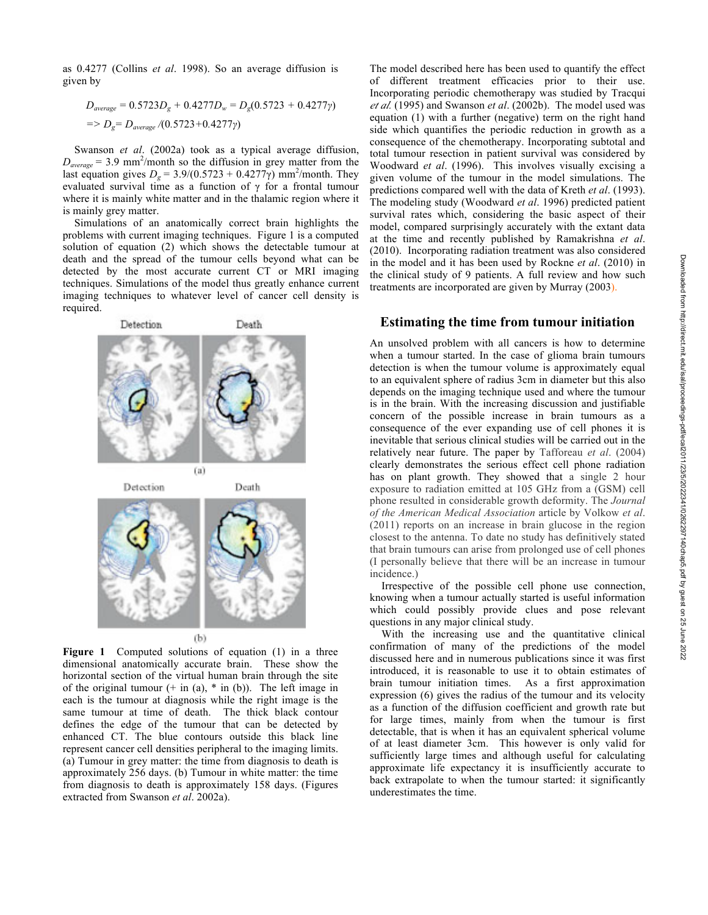as 0.4277 (Collins *et al*. 1998). So an average diffusion is given by

$$
D_{average} = 0.5723D_g + 0.4277D_w = D_g(0.5723 + 0.4277\gamma)
$$
  
= >  $D_g = D_{average} / (0.5723 + 0.4277\gamma)$ 

Swanson *et al*. (2002a) took as a typical average diffusion,  $D_{average} = 3.9$  mm<sup>2</sup>/month so the diffusion in grey matter from the last equation gives  $D_g = 3.9/(0.5723 + 0.4277)$  mm<sup>2</sup>/month. They evaluated survival time as a function of  $\gamma$  for a frontal tumour where it is mainly white matter and in the thalamic region where it is mainly grey matter.

Simulations of an anatomically correct brain highlights the problems with current imaging techniques. Figure 1 is a computed solution of equation (2) which shows the detectable tumour at death and the spread of the tumour cells beyond what can be detected by the most accurate current CT or MRI imaging techniques. Simulations of the model thus greatly enhance current imaging techniques to whatever level of cancer cell density is required.



**Figure** 1 Computed solutions of equation (1) in a three dimensional anatomically accurate brain. These show the horizontal section of the virtual human brain through the site of the original tumour  $(+$  in (a),  $*$  in (b)). The left image in each is the tumour at diagnosis while the right image is the same tumour at time of death. The thick black contour defines the edge of the tumour that can be detected by enhanced CT. The blue contours outside this black line represent cancer cell densities peripheral to the imaging limits. (a) Tumour in grey matter: the time from diagnosis to death is approximately 256 days. (b) Tumour in white matter: the time from diagnosis to death is approximately 158 days. (Figures extracted from Swanson *et al*. 2002a).

The model described here has been used to quantify the effect of different treatment efficacies prior to their use. Incorporating periodic chemotherapy was studied by Tracqui *et al.* (1995) and Swanson *et al*. (2002b). The model used was equation (1) with a further (negative) term on the right hand side which quantifies the periodic reduction in growth as a consequence of the chemotherapy. Incorporating subtotal and total tumour resection in patient survival was considered by Woodward *et al*. (1996). This involves visually excising a given volume of the tumour in the model simulations. The predictions compared well with the data of Kreth *et al*. (1993). The modeling study (Woodward *et al*. 1996) predicted patient survival rates which, considering the basic aspect of their model, compared surprisingly accurately with the extant data at the time and recently published by Ramakrishna *et al*. (2010). Incorporating radiation treatment was also considered in the model and it has been used by Rockne *et al*. (2010) in the clinical study of 9 patients. A full review and how such treatments are incorporated are given by Murray (2003).

### **Estimating the time from tumour initiation**

An unsolved problem with all cancers is how to determine when a tumour started. In the case of glioma brain tumours detection is when the tumour volume is approximately equal to an equivalent sphere of radius 3cm in diameter but this also depends on the imaging technique used and where the tumour is in the brain. With the increasing discussion and justifiable concern of the possible increase in brain tumours as a consequence of the ever expanding use of cell phones it is inevitable that serious clinical studies will be carried out in the relatively near future. The paper by Tafforeau *et al*. (2004) clearly demonstrates the serious effect cell phone radiation has on plant growth. They showed that a single 2 hour exposure to radiation emitted at 105 GHz from a (GSM) cell phone resulted in considerable growth deformity. The *Journal of the American Medical Association* article by Volkow *et al*. (2011) reports on an increase in brain glucose in the region closest to the antenna. To date no study has definitively stated that brain tumours can arise from prolonged use of cell phones (I personally believe that there will be an increase in tumour incidence.)

Irrespective of the possible cell phone use connection, knowing when a tumour actually started is useful information which could possibly provide clues and pose relevant questions in any major clinical study.

With the increasing use and the quantitative clinical confirmation of many of the predictions of the model discussed here and in numerous publications since it was first introduced, it is reasonable to use it to obtain estimates of brain tumour initiation times. As a first approximation expression (6) gives the radius of the tumour and its velocity as a function of the diffusion coefficient and growth rate but for large times, mainly from when the tumour is first detectable, that is when it has an equivalent spherical volume of at least diameter 3cm. This however is only valid for sufficiently large times and although useful for calculating approximate life expectancy it is insufficiently accurate to back extrapolate to when the tumour started: it significantly underestimates the time.